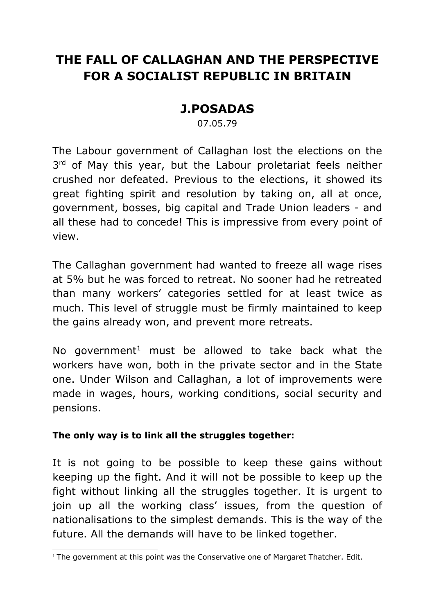## **THE FALL OF CALLAGHAN AND THE PERSPECTIVE FOR A SOCIALIST REPUBLIC IN BRITAIN**

## **J.POSADAS**

07.05.79

The Labour government of Callaghan lost the elections on the 3rd of May this year, but the Labour proletariat feels neither crushed nor defeated. Previous to the elections, it showed its great fighting spirit and resolution by taking on, all at once, government, bosses, big capital and Trade Union leaders - and all these had to concede! This is impressive from every point of view.

The Callaghan government had wanted to freeze all wage rises at 5% but he was forced to retreat. No sooner had he retreated than many workers' categories settled for at least twice as much. This level of struggle must be firmly maintained to keep the gains already won, and prevent more retreats.

No government<sup>1</sup> must be allowed to take back what the workers have won, both in the private sector and in the State one. Under Wilson and Callaghan, a lot of improvements were made in wages, hours, working conditions, social security and pensions.

## **The only way is to link all the struggles together:**

It is not going to be possible to keep these gains without keeping up the fight. And it will not be possible to keep up the fight without linking all the struggles together. It is urgent to join up all the working class' issues, from the question of nationalisations to the simplest demands. This is the way of the future. All the demands will have to be linked together.

 $1$  The government at this point was the Conservative one of Margaret Thatcher. Edit.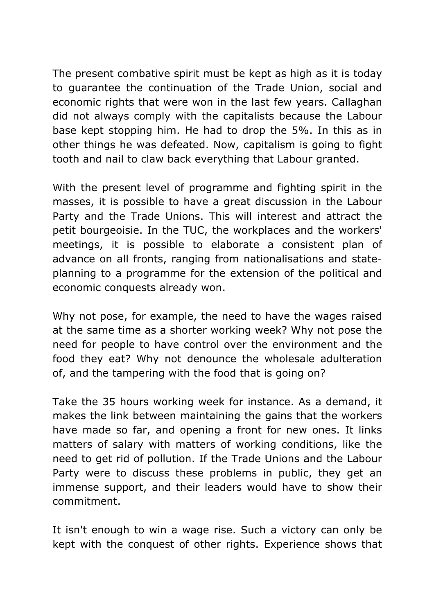The present combative spirit must be kept as high as it is today to guarantee the continuation of the Trade Union, social and economic rights that were won in the last few years. Callaghan did not always comply with the capitalists because the Labour base kept stopping him. He had to drop the 5%. In this as in other things he was defeated. Now, capitalism is going to fight tooth and nail to claw back everything that Labour granted.

With the present level of programme and fighting spirit in the masses, it is possible to have a great discussion in the Labour Party and the Trade Unions. This will interest and attract the petit bourgeoisie. In the TUC, the workplaces and the workers' meetings, it is possible to elaborate a consistent plan of advance on all fronts, ranging from nationalisations and stateplanning to a programme for the extension of the political and economic conquests already won.

Why not pose, for example, the need to have the wages raised at the same time as a shorter working week? Why not pose the need for people to have control over the environment and the food they eat? Why not denounce the wholesale adulteration of, and the tampering with the food that is going on?

Take the 35 hours working week for instance. As a demand, it makes the link between maintaining the gains that the workers have made so far, and opening a front for new ones. It links matters of salary with matters of working conditions, like the need to get rid of pollution. If the Trade Unions and the Labour Party were to discuss these problems in public, they get an immense support, and their leaders would have to show their commitment.

It isn't enough to win a wage rise. Such a victory can only be kept with the conquest of other rights. Experience shows that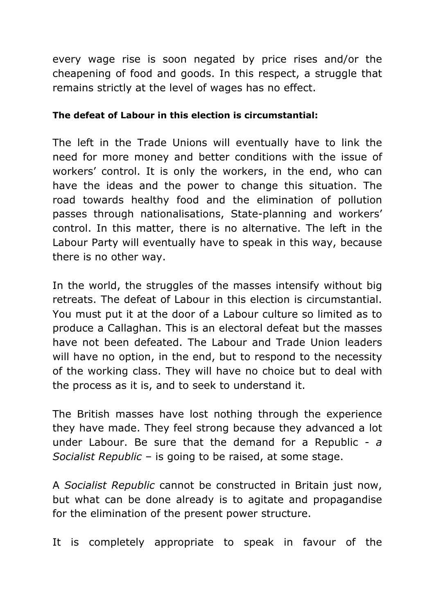every wage rise is soon negated by price rises and/or the cheapening of food and goods. In this respect, a struggle that remains strictly at the level of wages has no effect.

## **The defeat of Labour in this election is circumstantial:**

The left in the Trade Unions will eventually have to link the need for more money and better conditions with the issue of workers' control. It is only the workers, in the end, who can have the ideas and the power to change this situation. The road towards healthy food and the elimination of pollution passes through nationalisations, State-planning and workers' control. In this matter, there is no alternative. The left in the Labour Party will eventually have to speak in this way, because there is no other way.

In the world, the struggles of the masses intensify without big retreats. The defeat of Labour in this election is circumstantial. You must put it at the door of a Labour culture so limited as to produce a Callaghan. This is an electoral defeat but the masses have not been defeated. The Labour and Trade Union leaders will have no option, in the end, but to respond to the necessity of the working class. They will have no choice but to deal with the process as it is, and to seek to understand it.

The British masses have lost nothing through the experience they have made. They feel strong because they advanced a lot under Labour. Be sure that the demand for a Republic - *a Socialist Republic* – is going to be raised, at some stage.

A *Socialist Republic* cannot be constructed in Britain just now, but what can be done already is to agitate and propagandise for the elimination of the present power structure.

It is completely appropriate to speak in favour of the